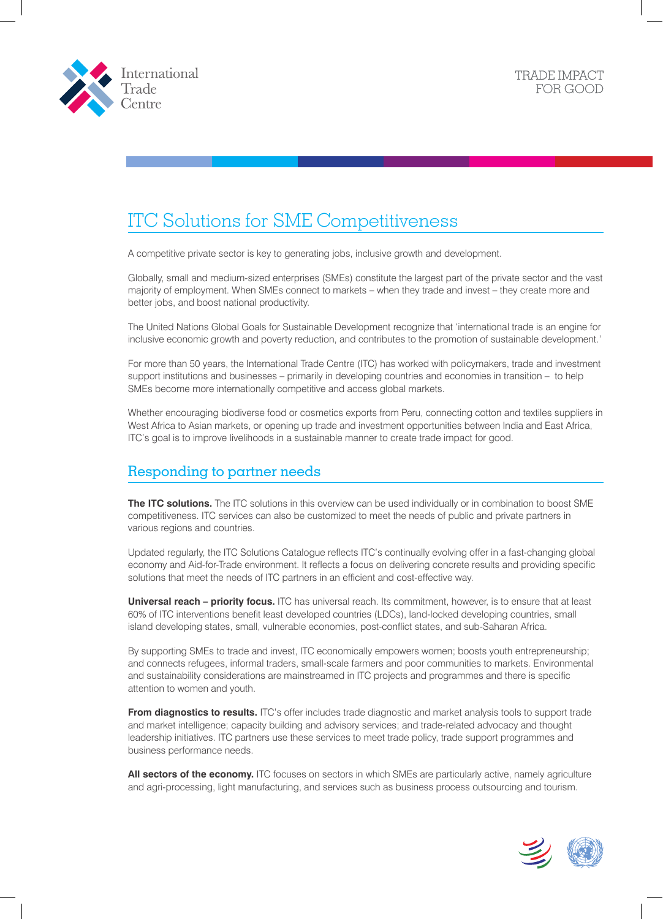



# ITC Solutions for SME Competitiveness

A competitive private sector is key to generating jobs, inclusive growth and development.

Globally, small and medium-sized enterprises (SMEs) constitute the largest part of the private sector and the vast majority of employment. When SMEs connect to markets – when they trade and invest – they create more and better jobs, and boost national productivity.

The United Nations Global Goals for Sustainable Development recognize that 'international trade is an engine for inclusive economic growth and poverty reduction, and contributes to the promotion of sustainable development.'

For more than 50 years, the International Trade Centre (ITC) has worked with policymakers, trade and investment support institutions and businesses – primarily in developing countries and economies in transition – to help SMEs become more internationally competitive and access global markets.

Whether encouraging biodiverse food or cosmetics exports from Peru, connecting cotton and textiles suppliers in West Africa to Asian markets, or opening up trade and investment opportunities between India and East Africa, ITC's goal is to improve livelihoods in a sustainable manner to create trade impact for good.

# Responding to partner needs

**The ITC solutions.** The ITC solutions in this overview can be used individually or in combination to boost SME competitiveness. ITC services can also be customized to meet the needs of public and private partners in various regions and countries.

Updated regularly, the ITC Solutions Catalogue reflects ITC's continually evolving offer in a fast-changing global economy and Aid-for-Trade environment. It reflects a focus on delivering concrete results and providing specific solutions that meet the needs of ITC partners in an efficient and cost-effective way.

**Universal reach – priority focus.** ITC has universal reach. Its commitment, however, is to ensure that at least 60% of ITC interventions benefit least developed countries (LDCs), land-locked developing countries, small island developing states, small, vulnerable economies, post-conflict states, and sub-Saharan Africa.

By supporting SMEs to trade and invest, ITC economically empowers women; boosts youth entrepreneurship; and connects refugees, informal traders, small-scale farmers and poor communities to markets. Environmental and sustainability considerations are mainstreamed in ITC projects and programmes and there is specific attention to women and youth.

**From diagnostics to results.** ITC's offer includes trade diagnostic and market analysis tools to support trade and market intelligence; capacity building and advisory services; and trade-related advocacy and thought leadership initiatives. ITC partners use these services to meet trade policy, trade support programmes and business performance needs.

**All sectors of the economy.** ITC focuses on sectors in which SMEs are particularly active, namely agriculture and agri-processing, light manufacturing, and services such as business process outsourcing and tourism.

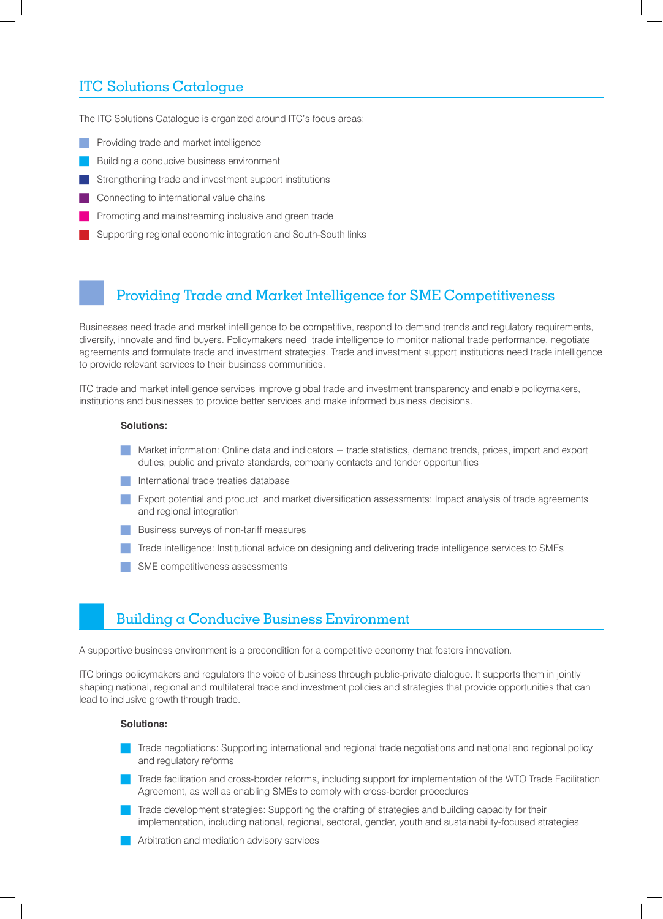# ITC Solutions Catalogue

The ITC Solutions Catalogue is organized around ITC's focus areas:

- Providing trade and market intelligence
- Building a conducive business environment
- Strengthening trade and investment support institutions
- Connecting to international value chains
- Promoting and mainstreaming inclusive and green trade
- Supporting regional economic integration and South-South links

### Providing Trade and Market Intelligence for SME Competitiveness

Businesses need trade and market intelligence to be competitive, respond to demand trends and regulatory requirements, diversify, innovate and find buyers. Policymakers need trade intelligence to monitor national trade performance, negotiate agreements and formulate trade and investment strategies. Trade and investment support institutions need trade intelligence to provide relevant services to their business communities.

ITC trade and market intelligence services improve global trade and investment transparency and enable policymakers, institutions and businesses to provide better services and make informed business decisions.

### **Solutions:**

- Market information: Online data and indicators trade statistics, demand trends, prices, import and export duties, public and private standards, company contacts and tender opportunities
- **International trade treaties database**
- **Export potential and product and market diversification assessments: Impact analysis of trade agreements** and regional integration
- **Business surveys of non-tariff measures**
- Trade intelligence: Institutional advice on designing and delivering trade intelligence services to SMEs
- SME competitiveness assessments

### Building a Conducive Business Environment

A supportive business environment is a precondition for a competitive economy that fosters innovation.

ITC brings policymakers and regulators the voice of business through public-private dialogue. It supports them in jointly shaping national, regional and multilateral trade and investment policies and strategies that provide opportunities that can lead to inclusive growth through trade.

### **Solutions:**

- **Trade negotiations: Supporting international and regional trade negotiations and national and regional policy** and regulatory reforms
- Trade facilitation and cross-border reforms, including support for implementation of the WTO Trade Facilitation Agreement, as well as enabling SMEs to comply with cross-border procedures
- Trade development strategies: Supporting the crafting of strategies and building capacity for their implementation, including national, regional, sectoral, gender, youth and sustainability-focused strategies
- Arbitration and mediation advisory services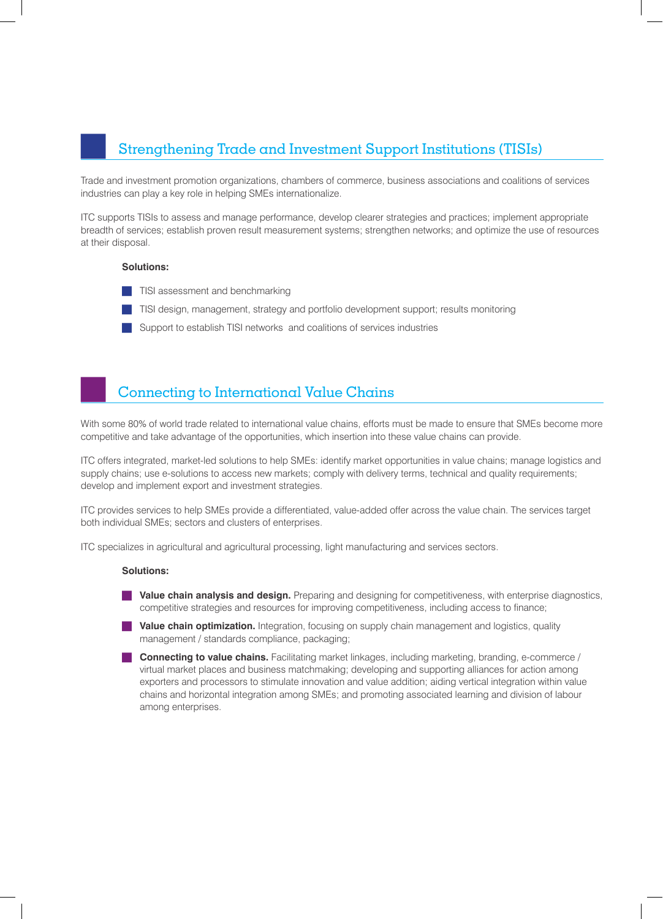## Strengthening Trade and Investment Support Institutions (TISIs)

Trade and investment promotion organizations, chambers of commerce, business associations and coalitions of services industries can play a key role in helping SMEs internationalize.

ITC supports TISIs to assess and manage performance, develop clearer strategies and practices; implement appropriate breadth of services; establish proven result measurement systems; strengthen networks; and optimize the use of resources at their disposal.

#### **Solutions:**

- **TISI** assessment and benchmarking
- **TISI** design, management, strategy and portfolio development support; results monitoring
- Support to establish TISI networks and coalitions of services industries

### Connecting to International Value Chains

With some 80% of world trade related to international value chains, efforts must be made to ensure that SMEs become more competitive and take advantage of the opportunities, which insertion into these value chains can provide.

ITC offers integrated, market-led solutions to help SMEs: identify market opportunities in value chains; manage logistics and supply chains; use e-solutions to access new markets; comply with delivery terms, technical and quality requirements; develop and implement export and investment strategies.

ITC provides services to help SMEs provide a differentiated, value-added offer across the value chain. The services target both individual SMEs; sectors and clusters of enterprises.

ITC specializes in agricultural and agricultural processing, light manufacturing and services sectors.

#### **Solutions:**

- **Value chain analysis and design.** Preparing and designing for competitiveness, with enterprise diagnostics, competitive strategies and resources for improving competitiveness, including access to finance;
- **Value chain optimization.** Integration, focusing on supply chain management and logistics, quality management / standards compliance, packaging;
- **Connecting to value chains.** Facilitating market linkages, including marketing, branding, e-commerce / virtual market places and business matchmaking; developing and supporting alliances for action among exporters and processors to stimulate innovation and value addition; aiding vertical integration within value chains and horizontal integration among SMEs; and promoting associated learning and division of labour among enterprises.